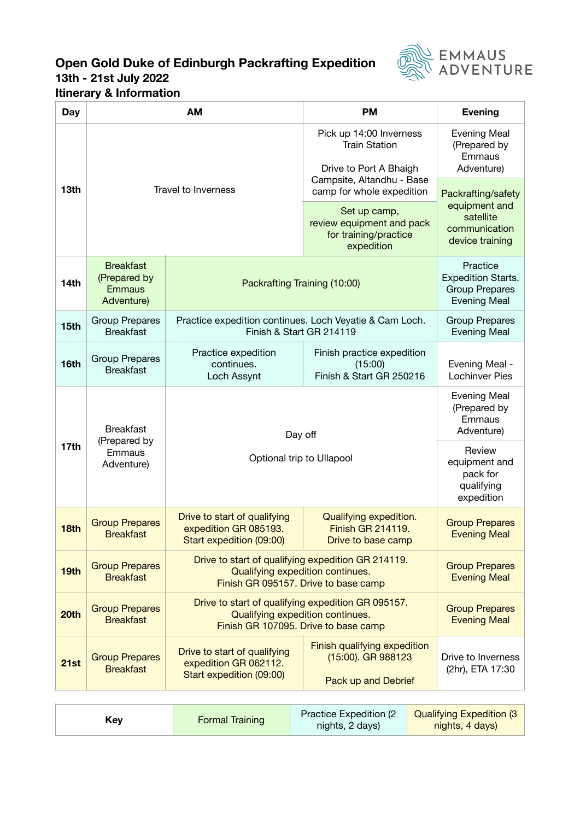## **Open Gold Duke of Edinburgh Packrafting Expedition 13th - 21st July 2022 Itinerary & Information**



| <b>Day</b> |                                                                 | <b>AM</b>                                                                                                                      | <b>PM</b>                                                                        | <b>Evening</b>                                                                        |
|------------|-----------------------------------------------------------------|--------------------------------------------------------------------------------------------------------------------------------|----------------------------------------------------------------------------------|---------------------------------------------------------------------------------------|
| 13th       | Travel to Inverness                                             |                                                                                                                                | Pick up 14:00 Inverness<br><b>Train Station</b><br>Drive to Port A Bhaigh        | <b>Evening Meal</b><br>(Prepared by<br>Emmaus<br>Adventure)                           |
|            |                                                                 |                                                                                                                                | Campsite, Altandhu - Base<br>camp for whole expedition                           | Packrafting/safety                                                                    |
|            |                                                                 |                                                                                                                                | Set up camp,<br>review equipment and pack<br>for training/practice<br>expedition | equipment and<br>satellite<br>communication<br>device training                        |
| 14th       | <b>Breakfast</b><br>(Prepared by<br><b>Emmaus</b><br>Adventure) | Packrafting Training (10:00)                                                                                                   |                                                                                  | Practice<br><b>Expedition Starts.</b><br><b>Group Prepares</b><br><b>Evening Meal</b> |
| 15th       | <b>Group Prepares</b><br><b>Breakfast</b>                       | Practice expedition continues. Loch Veyatie & Cam Loch.<br>Finish & Start GR 214119                                            |                                                                                  | <b>Group Prepares</b><br><b>Evening Meal</b>                                          |
| 16th       | <b>Group Prepares</b><br><b>Breakfast</b>                       | Practice expedition<br>continues.<br>Loch Assynt                                                                               | Finish practice expedition<br>(15:00)<br>Finish & Start GR 250216                | Evening Meal -<br><b>Lochinver Pies</b>                                               |
| 17th       | <b>Breakfast</b><br>(Prepared by<br>Emmaus<br>Adventure)        | Day off<br>Optional trip to Ullapool                                                                                           |                                                                                  | <b>Evening Meal</b><br>(Prepared by<br>Emmaus<br>Adventure)                           |
|            |                                                                 |                                                                                                                                |                                                                                  | Review<br>equipment and<br>pack for<br>qualifying<br>expedition                       |
| 18th       | <b>Group Prepares</b><br><b>Breakfast</b>                       | Drive to start of qualifying<br>expedition GR 085193.<br>Start expedition (09:00)                                              | Qualifying expedition.<br>Finish GR 214119.<br>Drive to base camp                | <b>Group Prepares</b><br><b>Evening Meal</b>                                          |
| 19th       | <b>Group Prepares</b><br><b>Breakfast</b>                       | Drive to start of qualifying expedition GR 214119.<br>Qualifying expedition continues.<br>Finish GR 095157. Drive to base camp |                                                                                  | <b>Group Prepares</b><br><b>Evening Meal</b>                                          |
| 20th       | <b>Group Prepares</b><br><b>Breakfast</b>                       | Drive to start of qualifying expedition GR 095157.<br>Qualifying expedition continues.<br>Finish GR 107095. Drive to base camp |                                                                                  | <b>Group Prepares</b><br><b>Evening Meal</b>                                          |
| 21st       | <b>Group Prepares</b><br><b>Breakfast</b>                       | Drive to start of qualifying<br>expedition GR 062112.<br>Start expedition (09:00)                                              | Finish qualifying expedition<br>(15:00). GR 988123<br>Pack up and Debrief        | Drive to Inverness<br>(2hr), ETA 17:30                                                |

| <b>Formal Training</b> | Practice Expedition (2) | <b>Qualifying Expedition (3</b> |
|------------------------|-------------------------|---------------------------------|
| Kev                    | nights, 2 days)         | nights, 4 days)                 |